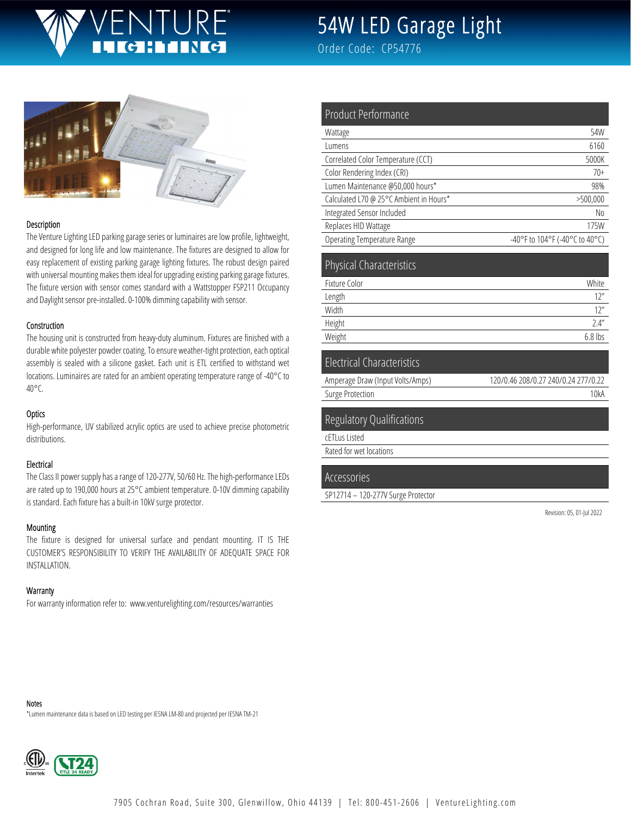# JRF

# 54W LED Garage Light

Order Code: CP54776



#### Description

The Venture Lighting LED parking garage series or luminaires are low profile, lightweight, and designed for long life and low maintenance. The fixtures are designed to allow for easy replacement of existing parking garage lighting fixtures. The robust design paired with universal mounting makes them ideal for upgrading existing parking garage fixtures. The fixture version with sensor comes standard with a Wattstopper FSP211 Occupancy and Daylight sensor pre-installed. 0-100% dimming capability with sensor.

#### Construction

The housing unit is constructed from heavy-duty aluminum. Fixtures are finished with a durable white polyester powder coating. To ensure weather-tight protection, each optical assembly is sealed with a silicone gasket. Each unit is ETL certified to withstand wet locations. Luminaires are rated for an ambient operating temperature range of -40°C to 40°C.

#### **Optics**

High-performance, UV stabilized acrylic optics are used to achieve precise photometric distributions.

#### Electrical

The Class II power supply has a range of 120-277V, 50/60 Hz. The high-performance LEDs are rated up to 190,000 hours at 25°C ambient temperature. 0-10V dimming capability is standard. Each fixture has a built-in 10kV surge protector.

#### Mounting

The fixture is designed for universal surface and pendant mounting. IT IS THE CUSTOMER'S RESPONSIBILITY TO VERIFY THE AVAILABILITY OF ADEQUATE SPACE FOR INSTALLATION.

#### **Warranty**

For warranty information refer to: www.venturelighting.com/resources/warranties

| Product Performance                     |                                          |
|-----------------------------------------|------------------------------------------|
| Wattage                                 | 54W                                      |
| Lumens                                  | 6160                                     |
| Correlated Color Temperature (CCT)      | 5000K                                    |
| Color Rendering Index (CRI)             | $70+$                                    |
| Lumen Maintenance @50,000 hours*        | 98%                                      |
| Calculated L70 @ 25°C Ambient in Hours* | >500,000                                 |
| Integrated Sensor Included              | No                                       |
| Replaces HID Wattage                    | 175W                                     |
| <b>Operating Temperature Range</b>      | $-40^{\circ}$ F to 104°F (-40°C to 40°C) |
|                                         |                                          |
| <b>Physical Characteristics</b>         |                                          |
| Fixture Color                           | White                                    |

| Fixture Color | White     |
|---------------|-----------|
| Length        | 12''      |
| Width         | 12''      |
| Height        | 2.4''     |
| Weight        | $6.8$ lbs |

#### Electrical Characteristics

| Amperage Draw (Input Volts/Amps) | 120/0.46 208/0.27 240/0.24 277/0.22 |
|----------------------------------|-------------------------------------|
| Surge Protection                 | 10kA                                |

#### Regulatory Qualifications

cETLus Listed

Rated for wet locations

#### Accessories

SP12714 – 120-277V Surge Protector

Revision: 05, 01-Jul 2022

Notes

\*Lumen maintenance data is based on LED testing per IESNA LM-80 and projected per IESNA TM-21